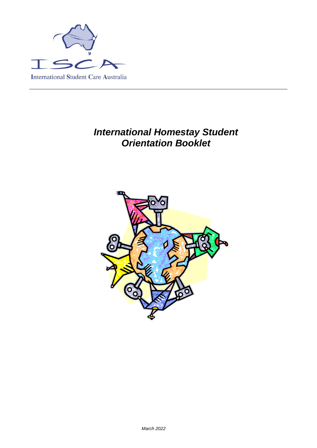

# *International Homestay Student Orientation Booklet*

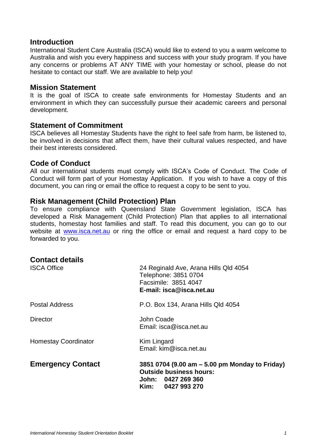#### **Introduction**

International Student Care Australia (ISCA) would like to extend to you a warm welcome to Australia and wish you every happiness and success with your study program. If you have any concerns or problems AT ANY TIME with your homestay or school, please do not hesitate to contact our staff. We are available to help you!

#### **Mission Statement**

It is the goal of ISCA to create safe environments for Homestay Students and an environment in which they can successfully pursue their academic careers and personal development.

#### **Statement of Commitment**

ISCA believes all Homestay Students have the right to feel safe from harm, be listened to, be involved in decisions that affect them, have their cultural values respected, and have their best interests considered.

#### **Code of Conduct**

All our international students must comply with ISCA's Code of Conduct. The Code of Conduct will form part of your Homestay Application. If you wish to have a copy of this document, you can ring or email the office to request a copy to be sent to you.

#### **Risk Management (Child Protection) Plan**

To ensure compliance with Queensland State Government legislation, ISCA has developed a Risk Management (Child Protection) Plan that applies to all international students, homestay host families and staff. To read this document, you can go to our website at [www.isca.net.au](http://www.isca.net.au/) or ring the office or email and request a hard copy to be forwarded to you.

| <b>Contact details</b><br><b>ISCA Office</b> | 24 Reginald Ave, Arana Hills Qld 4054<br>Telephone: 3851 0704<br>Facsimile: 3851 4047<br>E-mail: isca@isca.net.au           |
|----------------------------------------------|-----------------------------------------------------------------------------------------------------------------------------|
| <b>Postal Address</b>                        | P.O. Box 134, Arana Hills Qld 4054                                                                                          |
| Director                                     | John Coade<br>Email: isca@isca.net.au                                                                                       |
| <b>Homestay Coordinator</b>                  | Kim Lingard<br>Email: kim@isca.net.au                                                                                       |
| <b>Emergency Contact</b>                     | 3851 0704 (9.00 am - 5.00 pm Monday to Friday)<br><b>Outside business hours:</b><br>John: 0427 269 360<br>Kim: 0427 993 270 |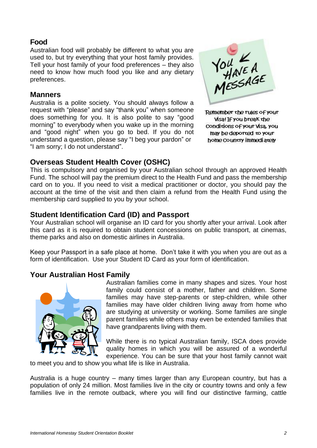# **Food**

Australian food will probably be different to what you are used to, but try everything that your host family provides. Tell your host family of your food preferences – they also need to know how much food you like and any dietary preferences.

#### **Manners**

Australia is a polite society. You should always follow a request with "please" and say "thank you" when someone does something for you. It is also polite to say "good morning" to everybody when you wake up in the morning and "good night" when you go to bed. If you do not understand a question, please say "I beg your pardon" or "I am sorry; I do not understand".



Remember the rules of your Visa! If you break the Conditions of your Visa, you may be deported to your home country immediately

# **Overseas Student Health Cover (OSHC)**

This is compulsory and organised by your Australian school through an approved Health Fund. The school will pay the premium direct to the Health Fund and pass the membership card on to you. If you need to visit a medical practitioner or doctor, you should pay the account at the time of the visit and then claim a refund from the Health Fund using the membership card supplied to you by your school.

# **Student Identification Card (ID) and Passport**

Your Australian school will organise an ID card for you shortly after your arrival. Look after this card as it is required to obtain student concessions on public transport, at cinemas, theme parks and also on domestic airlines in Australia.

Keep your Passport in a safe place at home. Don't take it with you when you are out as a form of identification. Use your Student ID Card as your form of identification.

# **Your Australian Host Family**



Australian families come in many shapes and sizes. Your host family could consist of a mother, father and children. Some families may have step-parents or step-children, while other families may have older children living away from home who are studying at university or working. Some families are single parent families while others may even be extended families that have grandparents living with them.

While there is no typical Australian family, ISCA does provide quality homes in which you will be assured of a wonderful experience. You can be sure that your host family cannot wait

to meet you and to show you what life is like in Australia.

Australia is a huge country – many times larger than any European country, but has a population of only 24 million. Most families live in the city or country towns and only a few families live in the remote outback, where you will find our distinctive farming, cattle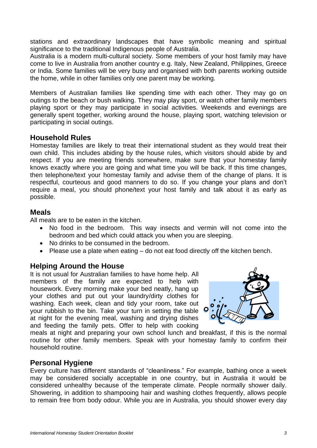stations and extraordinary landscapes that have symbolic meaning and spiritual significance to the traditional Indigenous people of Australia.

Australia is a modern multi-cultural society. Some members of your host family may have come to live in Australia from another country e.g. Italy, New Zealand, Philippines, Greece or India. Some families will be very busy and organised with both parents working outside the home, while in other families only one parent may be working.

Members of Australian families like spending time with each other. They may go on outings to the beach or bush walking. They may play sport, or watch other family members playing sport or they may participate in social activities. Weekends and evenings are generally spent together, working around the house, playing sport, watching television or participating in social outings.

# **Household Rules**

Homestay families are likely to treat their international student as they would treat their own child. This includes abiding by the house rules, which visitors should abide by and respect. If you are meeting friends somewhere, make sure that your homestay family knows exactly where you are going and what time you will be back. If this time changes, then telephone/text your homestay family and advise them of the change of plans. It is respectful, courteous and good manners to do so. If you change your plans and don't require a meal, you should phone/text your host family and talk about it as early as possible.

# **Meals**

All meals are to be eaten in the kitchen.

- No food in the bedroom. This way insects and vermin will not come into the bedroom and bed which could attack you when you are sleeping.
- No drinks to be consumed in the bedroom.
- Please use a plate when eating do not eat food directly off the kitchen bench.

# **Helping Around the House**

It is not usual for Australian families to have home help. All members of the family are expected to help with housework. Every morning make your bed neatly, hang up your clothes and put out your laundry/dirty clothes for washing. Each week, clean and tidy your room, take out your rubbish to the bin. Take your turn in setting the table at night for the evening meal, washing and drying dishes and feeding the family pets. Offer to help with cooking



meals at night and preparing your own school lunch and breakfast, if this is the normal routine for other family members. Speak with your homestay family to confirm their household routine.

### **Personal Hygiene**

Every culture has different standards of "cleanliness." For example, bathing once a week may be considered socially acceptable in one country, but in Australia it would be considered unhealthy because of the temperate climate. People normally shower daily. Showering, in addition to shampooing hair and washing clothes frequently, allows people to remain free from body odour. While you are in Australia, you should shower every day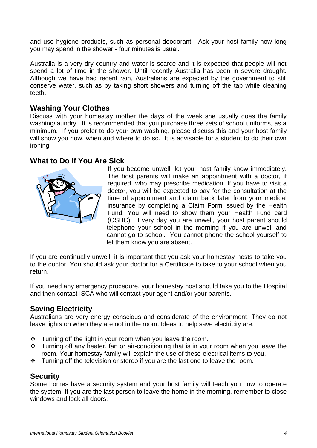and use hygiene products, such as personal deodorant. Ask your host family how long you may spend in the shower - four minutes is usual.

Australia is a very dry country and water is scarce and it is expected that people will not spend a lot of time in the shower. Until recently Australia has been in severe drought. Although we have had recent rain, Australians are expected by the government to still conserve water, such as by taking short showers and turning off the tap while cleaning teeth.

# **Washing Your Clothes**

Discuss with your homestay mother the days of the week she usually does the family washing/laundry. It is recommended that you purchase three sets of school uniforms, as a minimum. If you prefer to do your own washing, please discuss this and your host family will show you how, when and where to do so. It is advisable for a student to do their own ironing.

### **What to Do If You Are Sick**



If you become unwell, let your host family know immediately. The host parents will make an appointment with a doctor, if required, who may prescribe medication. If you have to visit a doctor, you will be expected to pay for the consultation at the time of appointment and claim back later from your medical insurance by completing a Claim Form issued by the Health Fund. You will need to show them your Health Fund card (OSHC). Every day you are unwell, your host parent should telephone your school in the morning if you are unwell and cannot go to school. You cannot phone the school yourself to let them know you are absent.

If you are continually unwell, it is important that you ask your homestay hosts to take you to the doctor. You should ask your doctor for a Certificate to take to your school when you return.

If you need any emergency procedure, your homestay host should take you to the Hospital and then contact ISCA who will contact your agent and/or your parents.

### **Saving Electricity**

Australians are very energy conscious and considerate of the environment. They do not leave lights on when they are not in the room. Ideas to help save electricity are:

- ❖ Turning off the light in your room when you leave the room.
- ❖ Turning off any heater, fan or air-conditioning that is in your room when you leave the room. Your homestay family will explain the use of these electrical items to you.
- ❖ Turning off the television or stereo if you are the last one to leave the room.

### **Security**

Some homes have a security system and your host family will teach you how to operate the system. If you are the last person to leave the home in the morning, remember to close windows and lock all doors.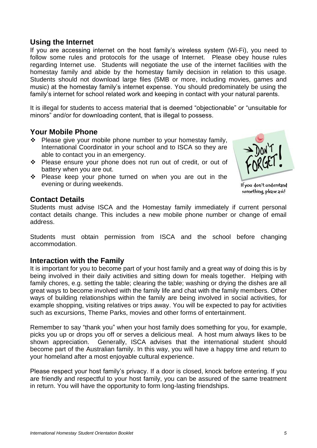# **Using the Internet**

If you are accessing internet on the host family's wireless system (Wi-Fi), you need to follow some rules and protocols for the usage of Internet. Please obey house rules regarding Internet use. Students will negotiate the use of the internet facilities with the homestay family and abide by the homestay family decision in relation to this usage. Students should not download large files (5MB or more, including movies, games and music) at the homestay family's internet expense. You should predominately be using the family's internet for school related work and keeping in contact with your natural parents.

It is illegal for students to access material that is deemed "objectionable" or "unsuitable for minors" and/or for downloading content, that is illegal to possess.

#### **Your Mobile Phone**

- ❖ Please give your mobile phone number to your homestay family, International Coordinator in your school and to ISCA so they are able to contact you in an emergency.
- ❖ Please ensure your phone does not run out of credit, or out of battery when you are out.
- ❖ Please keep your phone turned on when you are out in the evening or during weekends.

#### If you don't understand something, please ask!

### **Contact Details**

Students must advise ISCA and the Homestay family immediately if current personal contact details change. This includes a new mobile phone number or change of email address.

Students must obtain permission from ISCA and the school before changing accommodation.

### **Interaction with the Family**

It is important for you to become part of your host family and a great way of doing this is by being involved in their daily activities and sitting down for meals together. Helping with family chores, e.g. setting the table; clearing the table; washing or drying the dishes are all great ways to become involved with the family life and chat with the family members. Other ways of building relationships within the family are being involved in social activities, for example shopping, visiting relatives or trips away. You will be expected to pay for activities such as excursions, Theme Parks, movies and other forms of entertainment.

Remember to say "thank you" when your host family does something for you, for example, picks you up or drops you off or serves a delicious meal. A host mum always likes to be shown appreciation. Generally, ISCA advises that the international student should become part of the Australian family. In this way, you will have a happy time and return to your homeland after a most enjoyable cultural experience.

Please respect your host family's privacy. If a door is closed, knock before entering. If you are friendly and respectful to your host family, you can be assured of the same treatment in return. You will have the opportunity to form long-lasting friendships.

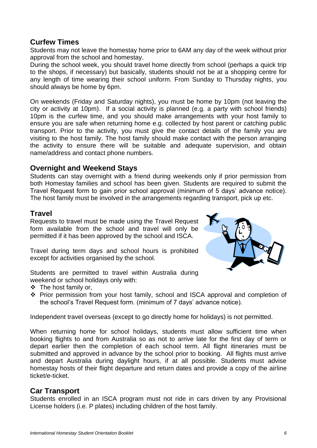### **Curfew Times**

Students may not leave the homestay home prior to 6AM any day of the week without prior approval from the school and homestay.

During the school week, you should travel home directly from school (perhaps a quick trip to the shops, if necessary) but basically, students should not be at a shopping centre for any length of time wearing their school uniform. From Sunday to Thursday nights, you should always be home by 6pm.

On weekends (Friday and Saturday nights), you must be home by 10pm (not leaving the city or activity at 10pm). If a social activity is planned (e.g. a party with school friends) 10pm is the curfew time, and you should make arrangements with your host family to ensure you are safe when returning home e.g. collected by host parent or catching public transport. Prior to the activity, you must give the contact details of the family you are visiting to the host family. The host family should make contact with the person arranging the activity to ensure there will be suitable and adequate supervision, and obtain name/address and contact phone numbers.

### **Overnight and Weekend Stays**

Students can stay overnight with a friend during weekends only if prior permission from both Homestay families and school has been given. Students are required to submit the Travel Request form to gain prior school approval (minimum of 5 days' advance notice). The host family must be involved in the arrangements regarding transport, pick up etc.

### **Travel**

Requests to travel must be made using the Travel Request form available from the school and travel will only be permitted if it has been approved by the school and ISCA.

Travel during term days and school hours is prohibited except for activities organised by the school.

Students are permitted to travel within Australia during weekend or school holidays only with:

- ❖ The host family or,
- ❖ Prior permission from your host family, school and ISCA approval and completion of the school's Travel Request form. (minimum of 7 days' advance notice).

Independent travel overseas (except to go directly home for holidays) is not permitted.

When returning home for school holidays, students must allow sufficient time when booking flights to and from Australia so as not to arrive late for the first day of term or depart earlier then the completion of each school term. All flight itineraries must be submitted and approved in advance by the school prior to booking. All flights must arrive and depart Australia during daylight hours, if at all possible. Students must advise homestay hosts of their flight departure and return dates and provide a copy of the airline ticket/e-ticket.

### **Car Transport**

Students enrolled in an ISCA program must not ride in cars driven by any Provisional License holders (i.e. P plates) including children of the host family.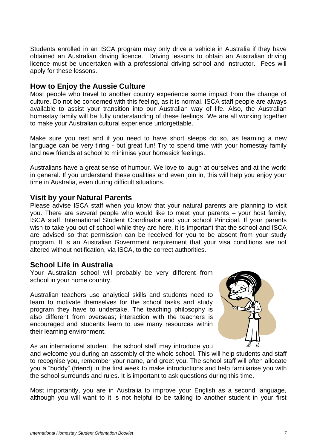Students enrolled in an ISCA program may only drive a vehicle in Australia if they have obtained an Australian driving licence. Driving lessons to obtain an Australian driving licence must be undertaken with a professional driving school and instructor. Fees will apply for these lessons.

# **How to Enjoy the Aussie Culture**

Most people who travel to another country experience some impact from the change of culture. Do not be concerned with this feeling, as it is normal. ISCA staff people are always available to assist your transition into our Australian way of life. Also, the Australian homestay family will be fully understanding of these feelings. We are all working together to make your Australian cultural experience unforgettable.

Make sure you rest and if you need to have short sleeps do so, as learning a new language can be very tiring - but great fun! Try to spend time with your homestay family and new friends at school to minimise your homesick feelings.

Australians have a great sense of humour. We love to laugh at ourselves and at the world in general. If you understand these qualities and even join in, this will help you enjoy your time in Australia, even during difficult situations.

#### **Visit by your Natural Parents**

Please advise ISCA staff when you know that your natural parents are planning to visit you. There are several people who would like to meet your parents – your host family, ISCA staff, International Student Coordinator and your school Principal. If your parents wish to take you out of school while they are here, it is important that the school and ISCA are advised so that permission can be received for you to be absent from your study program. It is an Australian Government requirement that your visa conditions are not altered without notification, via ISCA, to the correct authorities.

### **School Life in Australia**

Your Australian school will probably be very different from school in your home country.

Australian teachers use analytical skills and students need to learn to motivate themselves for the school tasks and study program they have to undertake. The teaching philosophy is also different from overseas; interaction with the teachers is encouraged and students learn to use many resources within their learning environment.



As an international student, the school staff may introduce you

and welcome you during an assembly of the whole school. This will help students and staff to recognise you, remember your name, and greet you. The school staff will often allocate you a "buddy" (friend) in the first week to make introductions and help familiarise you with the school surrounds and rules. It is important to ask questions during this time.

Most importantly, you are in Australia to improve your English as a second language, although you will want to it is not helpful to be talking to another student in your first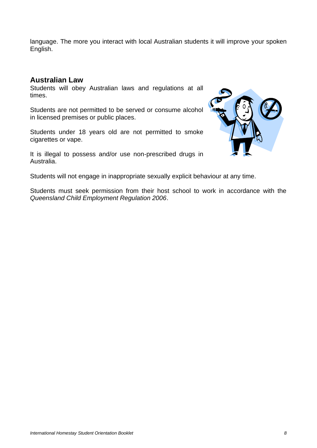language. The more you interact with local Australian students it will improve your spoken English.

#### **Australian Law**

Students will obey Australian laws and regulations at all times.

Students are not permitted to be served or consume alcohol in licensed premises or public places.

Students under 18 years old are not permitted to smoke cigarettes or vape.

It is illegal to possess and/or use non-prescribed drugs in Australia.



Students will not engage in inappropriate sexually explicit behaviour at any time.

Students must seek permission from their host school to work in accordance with the *Queensland Child Employment Regulation 2006*.